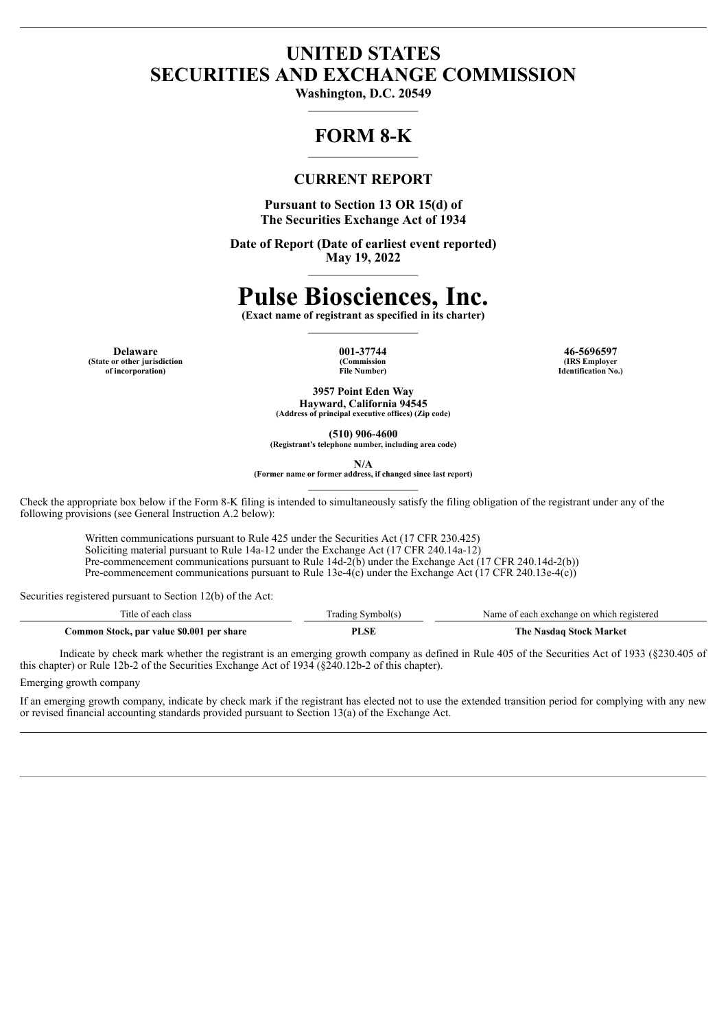## **UNITED STATES SECURITIES AND EXCHANGE COMMISSION**

**Washington, D.C. 20549** \_\_\_\_\_\_\_\_\_\_\_\_\_\_\_\_\_\_\_\_

# **FORM 8-K**

## **CURRENT REPORT**

**Pursuant to Section 13 OR 15(d) of The Securities Exchange Act of 1934**

**Date of Report (Date of earliest event reported) May 19, 2022**  $\mathcal{L}_\text{max}$  and  $\mathcal{L}_\text{max}$  and  $\mathcal{L}_\text{max}$ 

# **Pulse Biosciences, Inc.**

**(Exact name of registrant as specified in its charter)**  $\mathcal{L}_\text{max}$ 

**(State or other jurisdiction of incorporation)**

**(Commission File Number)**

**Delaware 001-37744 46-5696597 (IRS Employer Identification No.)**

> **3957 Point Eden Way Hayward, California 94545**

**(Address of principal executive offices) (Zip code)**

**(510) 906-4600 (Registrant's telephone number, including area code)**

**N/A**

**(Former name or former address, if changed since last report)**  $\mathcal{L}_\text{max}$ 

Check the appropriate box below if the Form 8-K filing is intended to simultaneously satisfy the filing obligation of the registrant under any of the following provisions (see General Instruction A.2 below):

Written communications pursuant to Rule 425 under the Securities Act (17 CFR 230.425) Soliciting material pursuant to Rule 14a-12 under the Exchange Act (17 CFR 240.14a-12) Pre-commencement communications pursuant to Rule 14d-2(b) under the Exchange Act (17 CFR 240.14d-2(b)) Pre-commencement communications pursuant to Rule 13e-4(c) under the Exchange Act (17 CFR 240.13e-4(c))

Securities registered pursuant to Section 12(b) of the Act:

| ritle of each class                       | `rading Symbol(s | Name of each exchange on which registered |
|-------------------------------------------|------------------|-------------------------------------------|
| Common Stock, par value \$0.001 per share | PLSE             | The Nasdag Stock Market                   |

Indicate by check mark whether the registrant is an emerging growth company as defined in Rule 405 of the Securities Act of 1933 (§230.405 of this chapter) or Rule 12b-2 of the Securities Exchange Act of 1934 (§240.12b-2 of this chapter).

Emerging growth company

If an emerging growth company, indicate by check mark if the registrant has elected not to use the extended transition period for complying with any new or revised financial accounting standards provided pursuant to Section 13(a) of the Exchange Act.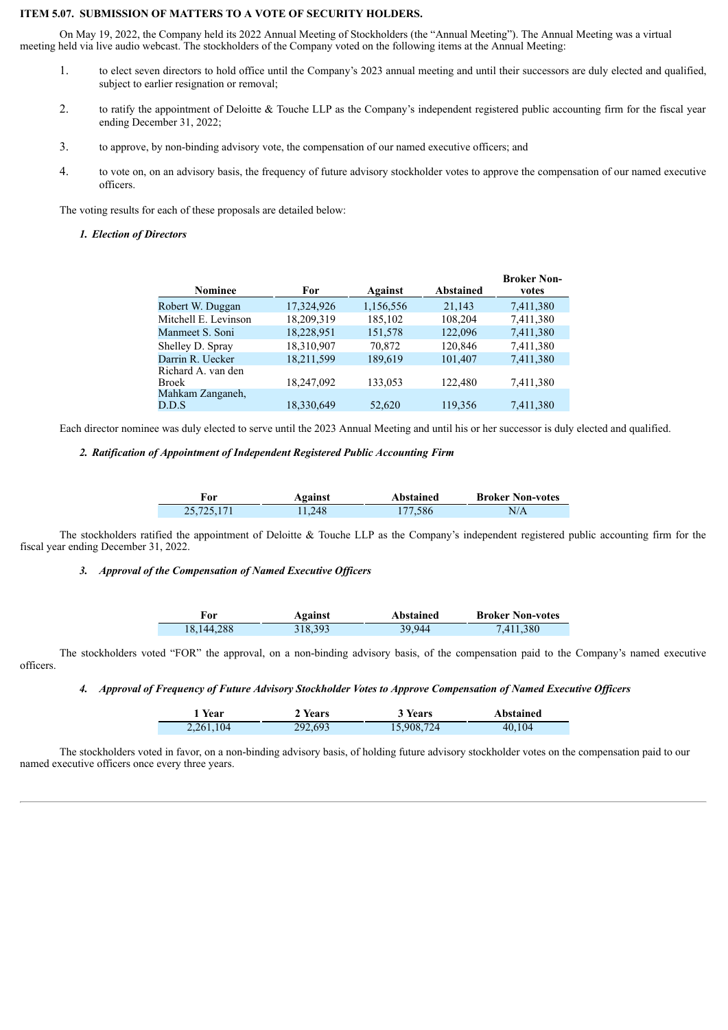#### **ITEM 5.07. SUBMISSION OF MATTERS TO A VOTE OF SECURITY HOLDERS.**

On May 19, 2022, the Company held its 2022 Annual Meeting of Stockholders (the "Annual Meeting"). The Annual Meeting was a virtual meeting held via live audio webcast. The stockholders of the Company voted on the following items at the Annual Meeting:

- 1. to elect seven directors to hold office until the Company's 2023 annual meeting and until their successors are duly elected and qualified, subject to earlier resignation or removal;
- 2. to ratify the appointment of Deloitte & Touche LLP as the Company's independent registered public accounting firm for the fiscal year ending December 31, 2022;
- 3. to approve, by non-binding advisory vote, the compensation of our named executive officers; and
- 4. to vote on, on an advisory basis, the frequency of future advisory stockholder votes to approve the compensation of our named executive officers.

The voting results for each of these proposals are detailed below:

#### *1. Election of Directors*

|                      |            |           |           | <b>Broker Non-</b> |
|----------------------|------------|-----------|-----------|--------------------|
| <b>Nominee</b>       | For        | Against   | Abstained | votes              |
| Robert W. Duggan     | 17,324,926 | 1,156,556 | 21,143    | 7,411,380          |
| Mitchell E. Levinson | 18,209,319 | 185,102   | 108,204   | 7,411,380          |
| Manmeet S. Soni      | 18,228,951 | 151,578   | 122,096   | 7,411,380          |
| Shelley D. Spray     | 18,310,907 | 70,872    | 120,846   | 7,411,380          |
| Darrin R. Uecker     | 18,211,599 | 189,619   | 101,407   | 7,411,380          |
| Richard A. van den   |            |           |           |                    |
| <b>Broek</b>         | 18,247,092 | 133,053   | 122,480   | 7,411,380          |
| Mahkam Zanganeh,     |            |           |           |                    |
| D.D.S                | 18,330,649 | 52,620    | 119,356   | 7,411,380          |

Each director nominee was duly elected to serve until the 2023 Annual Meeting and until his or her successor is duly elected and qualified.

#### *2. Ratification of Appointment of Independent Registered Public Accounting Firm*

| ror        | Against | Abstained | <b>Broker Non-votes</b> |
|------------|---------|-----------|-------------------------|
| 25,725,171 | 11,248  | 177,586   | N/A                     |

The stockholders ratified the appointment of Deloitte & Touche LLP as the Company's independent registered public accounting firm for the fiscal year ending December 31, 2022.

#### *3. Approval of the Compensation of Named Executive Of icers*

| For        | Against | Abstained | <b>Broker Non-votes</b> |
|------------|---------|-----------|-------------------------|
| 18.144.288 | 318,393 | 39,944    | 7,411,380               |

The stockholders voted "FOR" the approval, on a non-binding advisory basis, of the compensation paid to the Company's named executive officers.

#### 4. Approval of Frequency of Future Advisory Stockholder Votes to Approve Compensation of Named Executive Officers

| ' Year    | 2 Years | 3 Years    | Abstained |
|-----------|---------|------------|-----------|
| 2,261,104 | 292,693 | 15,908,724 | 40.104    |

The stockholders voted in favor, on a non-binding advisory basis, of holding future advisory stockholder votes on the compensation paid to our named executive officers once every three years.